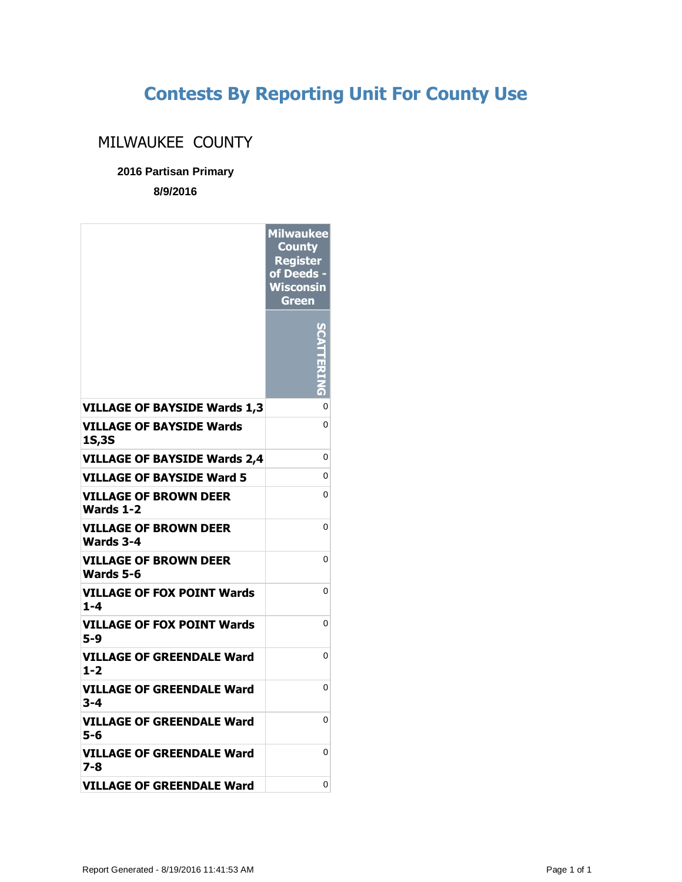## **Contests By Reporting Unit For County Use**

## MILWAUKEE COUNTY

## **2016 Partisan Primary**

**8/9/2016**

|                                              | <b>Milwaukee</b><br><b>County</b><br><b>Register</b><br>of Deeds -<br><b>Wisconsin</b><br><b>Green</b> |
|----------------------------------------------|--------------------------------------------------------------------------------------------------------|
|                                              |                                                                                                        |
| <b>VILLAGE OF BAYSIDE Wards 1,3</b>          | 0<br>0                                                                                                 |
| <b>VILLAGE OF BAYSIDE Wards</b><br>1S,3S     |                                                                                                        |
| <b>VILLAGE OF BAYSIDE Wards 2.4</b>          | 0                                                                                                      |
| VILLAGE OF BAYSIDE Ward 5                    | 0                                                                                                      |
| <b>VILLAGE OF BROWN DEER</b><br>Wards 1-2    | 0                                                                                                      |
| <b>VILLAGE OF BROWN DEER</b><br>Wards 3-4    | 0                                                                                                      |
| <b>VILLAGE OF BROWN DEER</b><br>Wards 5-6    | 0                                                                                                      |
| <b>VILLAGE OF FOX POINT Wards</b><br>$1 - 4$ | 0                                                                                                      |
| <b>VILLAGE OF FOX POINT Wards</b><br>5-9     | 0                                                                                                      |
| VILLAGE OF GREENDALE Ward<br>1-2             | 0                                                                                                      |
| VILLAGE OF GREENDALE Ward<br>3-4             | 0                                                                                                      |
| VILLAGE OF GREENDALE Ward<br>5-6             | 0                                                                                                      |
| VILLAGE OF GREENDALE Ward<br>7-8             | 0                                                                                                      |
| <b>VILLAGE OF GREENDALE Ward</b>             | 0                                                                                                      |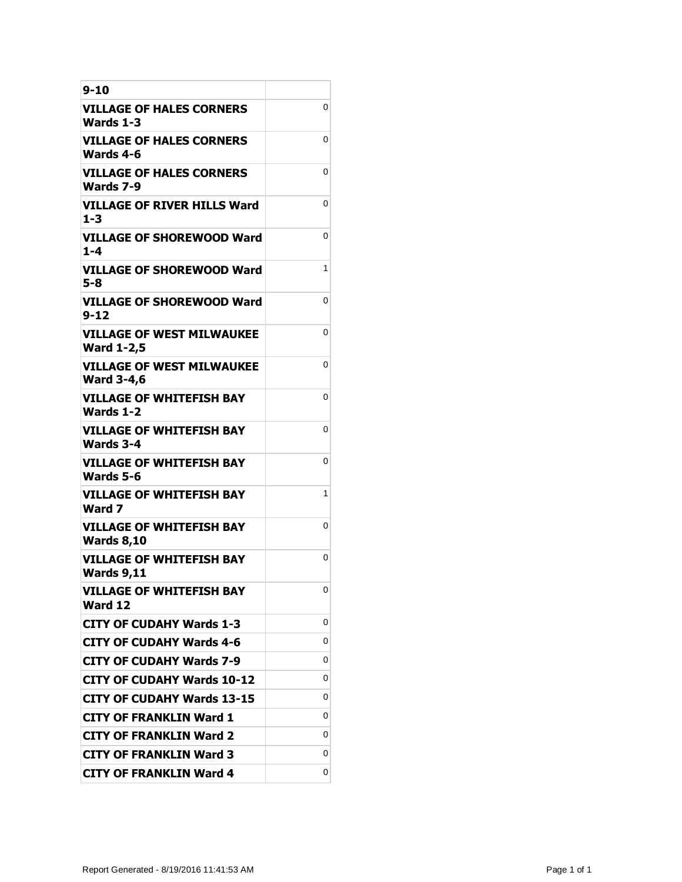| $9 - 10$                                              |   |
|-------------------------------------------------------|---|
| VILLAGE OF HALES CORNERS<br>Wards 1-3                 | 0 |
| VILLAGE OF HALES CORNERS<br>Wards 4-6                 | 0 |
| VILLAGE OF HALES CORNERS<br>Wards 7-9                 | 0 |
| <b>VILLAGE OF RIVER HILLS Ward</b><br>$1 - 3$         | 0 |
| <b>VILLAGE OF SHOREWOOD Ward</b><br>1-4               | 0 |
| VILLAGE OF SHOREWOOD Ward<br>5-8                      | 1 |
| VILLAGE OF SHOREWOOD Ward<br>9-12                     | 0 |
| <b>VILLAGE OF WEST MILWAUKEE</b><br><b>Ward 1-2,5</b> | 0 |
| <b>VILLAGE OF WEST MILWAUKEE</b><br><b>Ward 3-4,6</b> | 0 |
| <b>VILLAGE OF WHITEFISH BAY</b><br>Wards 1-2          | 0 |
| <b>VILLAGE OF WHITEFISH BAY</b><br><b>Wards 3-4</b>   | 0 |
| <b>VILLAGE OF WHITEFISH BAY</b><br>Wards 5-6          | 0 |
| <b>VILLAGE OF WHITEFISH BAY</b><br>Ward 7             | 1 |
| <b>VILLAGE OF WHITEFISH BAY</b><br><b>Wards 8,10</b>  | 0 |
| <b>VILLAGE OF WHITEFISH BAY</b><br><b>Wards 9,11</b>  | 0 |
| <b>VILLAGE OF WHITEFISH BAY</b><br>Ward 12            | 0 |
| <b>CITY OF CUDAHY Wards 1-3</b>                       | 0 |
| CITY OF CUDAHY Wards 4-6                              | 0 |
| <b>CITY OF CUDAHY Wards 7-9</b>                       | 0 |
| <b>CITY OF CUDAHY Wards 10-12</b>                     | 0 |
| <b>CITY OF CUDAHY Wards 13-15</b>                     | 0 |
| <b>CITY OF FRANKLIN Ward 1</b>                        | 0 |
| <b>CITY OF FRANKLIN Ward 2</b>                        | 0 |
| <b>CITY OF FRANKLIN Ward 3</b>                        | 0 |
| <b>CITY OF FRANKLIN Ward 4</b>                        | 0 |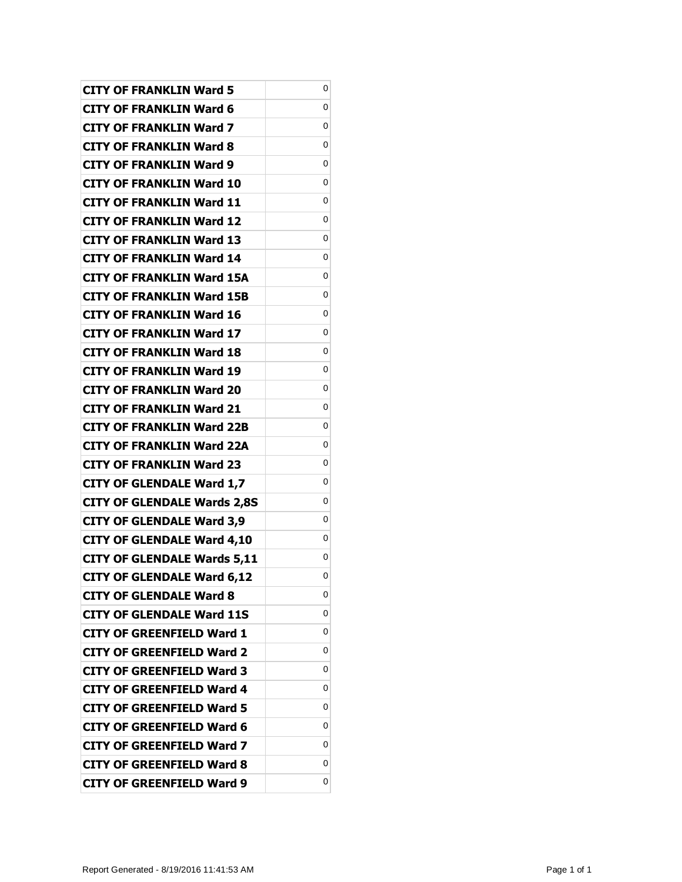| <b>CITY OF FRANKLIN Ward 5</b>     | 0 |
|------------------------------------|---|
| <b>CITY OF FRANKLIN Ward 6</b>     | 0 |
| <b>CITY OF FRANKLIN Ward 7</b>     | 0 |
| <b>CITY OF FRANKLIN Ward 8</b>     | 0 |
| <b>CITY OF FRANKLIN Ward 9</b>     | 0 |
| <b>CITY OF FRANKLIN Ward 10</b>    | 0 |
| <b>CITY OF FRANKLIN Ward 11</b>    | 0 |
| <b>CITY OF FRANKLIN Ward 12</b>    | 0 |
| <b>CITY OF FRANKLIN Ward 13</b>    | 0 |
| <b>CITY OF FRANKLIN Ward 14</b>    | 0 |
| <b>CITY OF FRANKLIN Ward 15A</b>   | 0 |
| <b>CITY OF FRANKLIN Ward 15B</b>   | 0 |
| <b>CITY OF FRANKLIN Ward 16</b>    | 0 |
| <b>CITY OF FRANKLIN Ward 17</b>    | 0 |
| <b>CITY OF FRANKLIN Ward 18</b>    | 0 |
| <b>CITY OF FRANKLIN Ward 19</b>    | 0 |
| <b>CITY OF FRANKLIN Ward 20</b>    | 0 |
| <b>CITY OF FRANKLIN Ward 21</b>    | 0 |
| <b>CITY OF FRANKLIN Ward 22B</b>   | 0 |
| <b>CITY OF FRANKLIN Ward 22A</b>   | 0 |
| <b>CITY OF FRANKLIN Ward 23</b>    | 0 |
| <b>CITY OF GLENDALE Ward 1,7</b>   | 0 |
| <b>CITY OF GLENDALE Wards 2,8S</b> | 0 |
| <b>CITY OF GLENDALE Ward 3,9</b>   | 0 |
| <b>CITY OF GLENDALE Ward 4,10</b>  | 0 |
| <b>CITY OF GLENDALE Wards 5,11</b> | 0 |
| <b>CITY OF GLENDALE Ward 6,12</b>  | 0 |
| <b>CITY OF GLENDALE Ward 8</b>     | 0 |
| <b>CITY OF GLENDALE Ward 11S</b>   | 0 |
| <b>CITY OF GREENFIELD Ward 1</b>   | 0 |
| <b>CITY OF GREENFIELD Ward 2</b>   | 0 |
| <b>CITY OF GREENFIELD Ward 3</b>   | 0 |
| <b>CITY OF GREENFIELD Ward 4</b>   | 0 |
| <b>CITY OF GREENFIELD Ward 5</b>   | 0 |
| <b>CITY OF GREENFIELD Ward 6</b>   | 0 |
| <b>CITY OF GREENFIELD Ward 7</b>   | 0 |
| <b>CITY OF GREENFIELD Ward 8</b>   | 0 |
| <b>CITY OF GREENFIELD Ward 9</b>   | 0 |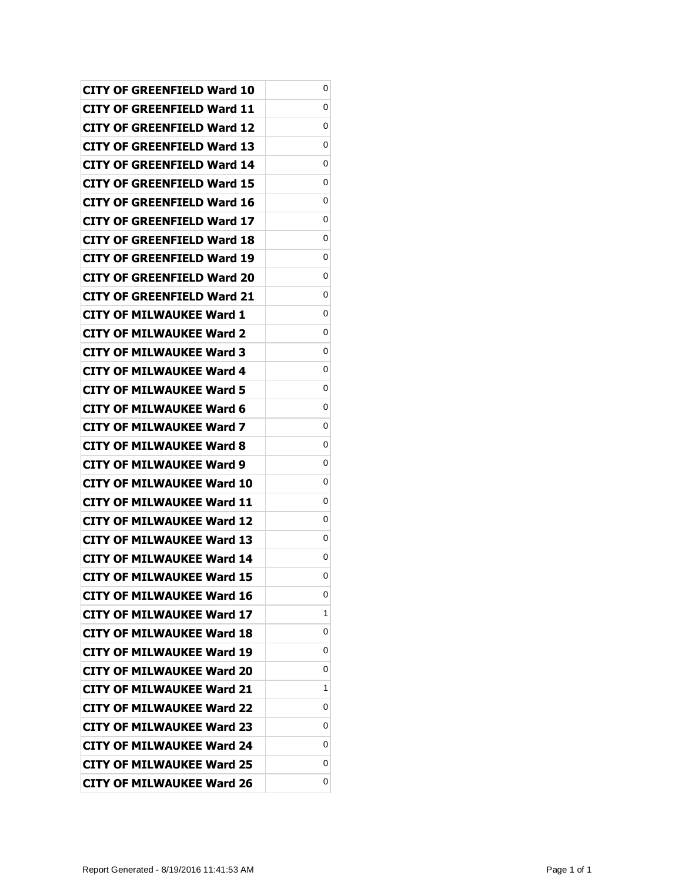| CITY OF GREENFIELD Ward 10        | 0 |
|-----------------------------------|---|
| CITY OF GREENFIELD Ward 11        | 0 |
| CITY OF GREENFIELD Ward 12        | 0 |
| CITY OF GREENFIELD Ward 13        | 0 |
| <b>CITY OF GREENFIELD Ward 14</b> | 0 |
| CITY OF GREENFIELD Ward 15        | 0 |
| CITY OF GREENFIELD Ward 16        | 0 |
| CITY OF GREENFIELD Ward 17        | 0 |
| CITY OF GREENFIELD Ward 18        | 0 |
| CITY OF GREENFIELD Ward 19        | 0 |
| CITY OF GREENFIELD Ward 20        | 0 |
| CITY OF GREENFIELD Ward 21        | 0 |
| <b>CITY OF MILWAUKEE Ward 1</b>   | 0 |
| CITY OF MILWAUKEE Ward 2          | 0 |
| <b>CITY OF MILWAUKEE Ward 3</b>   | 0 |
| CITY OF MILWAUKEE Ward 4          | 0 |
| CITY OF MILWAUKEE Ward 5          | 0 |
| <b>CITY OF MILWAUKEE Ward 6</b>   | 0 |
| CITY OF MILWAUKEE Ward 7          | 0 |
| <b>CITY OF MILWAUKEE Ward 8</b>   | 0 |
| <b>CITY OF MILWAUKEE Ward 9</b>   | 0 |
| CITY OF MILWAUKEE Ward 10         | 0 |
| CITY OF MILWAUKEE Ward 11         | 0 |
| CITY OF MILWAUKEE Ward 12         | 0 |
| CITY OF MILWAUKEE Ward 13         | 0 |
| <b>CITY OF MILWAUKEE Ward 14</b>  | 0 |
| <b>CITY OF MILWAUKEE Ward 15</b>  | 0 |
| <b>CITY OF MILWAUKEE Ward 16</b>  | 0 |
| <b>CITY OF MILWAUKEE Ward 17</b>  | 1 |
| <b>CITY OF MILWAUKEE Ward 18</b>  | 0 |
| <b>CITY OF MILWAUKEE Ward 19</b>  | 0 |
| <b>CITY OF MILWAUKEE Ward 20</b>  | 0 |
| <b>CITY OF MILWAUKEE Ward 21</b>  | 1 |
| <b>CITY OF MILWAUKEE Ward 22</b>  | 0 |
| <b>CITY OF MILWAUKEE Ward 23</b>  | 0 |
| <b>CITY OF MILWAUKEE Ward 24</b>  | 0 |
| <b>CITY OF MILWAUKEE Ward 25</b>  | 0 |
| <b>CITY OF MILWAUKEE Ward 26</b>  | 0 |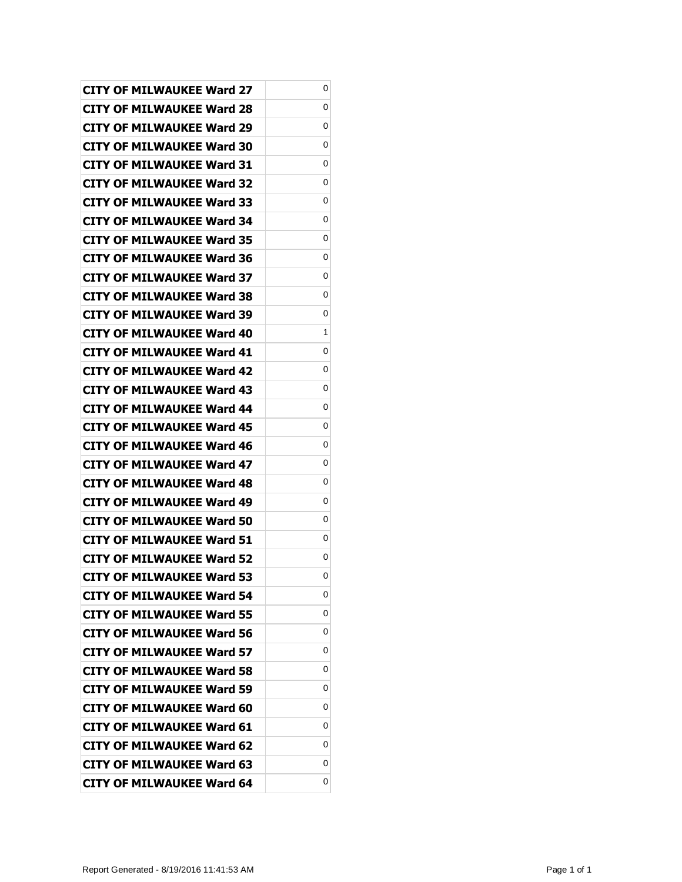| CITY OF MILWAUKEE Ward 27        | 0 |
|----------------------------------|---|
| CITY OF MILWAUKEE Ward 28        | 0 |
| CITY OF MILWAUKEE Ward 29        | 0 |
| <b>CITY OF MILWAUKEE Ward 30</b> | 0 |
| <b>CITY OF MILWAUKEE Ward 31</b> | 0 |
| CITY OF MILWAUKEE Ward 32        | 0 |
| <b>CITY OF MILWAUKEE Ward 33</b> | 0 |
| <b>CITY OF MILWAUKEE Ward 34</b> | 0 |
| <b>CITY OF MILWAUKEE Ward 35</b> | 0 |
| CITY OF MILWAUKEE Ward 36        | 0 |
| CITY OF MILWAUKEE Ward 37        | 0 |
| CITY OF MILWAUKEE Ward 38        | 0 |
| <b>CITY OF MILWAUKEE Ward 39</b> | 0 |
| CITY OF MILWAUKEE Ward 40        | 1 |
| CITY OF MILWAUKEE Ward 41        | 0 |
| CITY OF MILWAUKEE Ward 42        | 0 |
| CITY OF MILWAUKEE Ward 43        | 0 |
| <b>CITY OF MILWAUKEE Ward 44</b> | 0 |
| <b>CITY OF MILWAUKEE Ward 45</b> | 0 |
| CITY OF MILWAUKEE Ward 46        | 0 |
| <b>CITY OF MILWAUKEE Ward 47</b> | 0 |
| CITY OF MILWAUKEE Ward 48        | 0 |
| CITY OF MILWAUKEE Ward 49        | 0 |
| CITY OF MILWAUKEE Ward 50        | 0 |
| CITY OF MILWAUKEE Ward 51        | 0 |
| <b>CITY OF MILWAUKEE Ward 52</b> | 0 |
| <b>CITY OF MILWAUKEE Ward 53</b> | 0 |
| <b>CITY OF MILWAUKEE Ward 54</b> | 0 |
| <b>CITY OF MILWAUKEE Ward 55</b> | 0 |
| <b>CITY OF MILWAUKEE Ward 56</b> | 0 |
| <b>CITY OF MILWAUKEE Ward 57</b> | 0 |
| <b>CITY OF MILWAUKEE Ward 58</b> | 0 |
| <b>CITY OF MILWAUKEE Ward 59</b> | 0 |
| <b>CITY OF MILWAUKEE Ward 60</b> | 0 |
| <b>CITY OF MILWAUKEE Ward 61</b> | 0 |
| <b>CITY OF MILWAUKEE Ward 62</b> | 0 |
| <b>CITY OF MILWAUKEE Ward 63</b> | 0 |
| <b>CITY OF MILWAUKEE Ward 64</b> | 0 |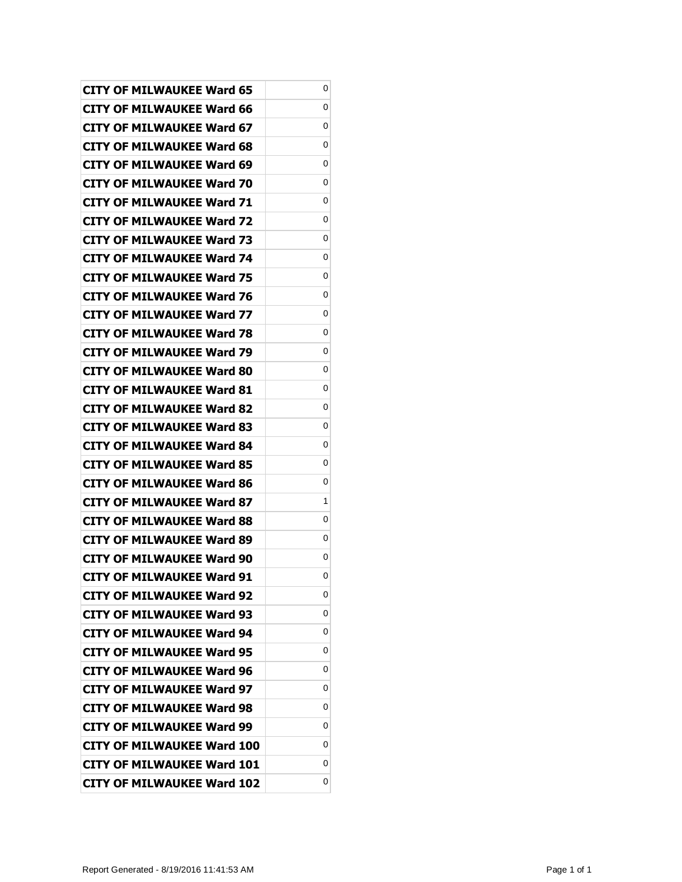| CITY OF MILWAUKEE Ward 65         | 0 |
|-----------------------------------|---|
| CITY OF MILWAUKEE Ward 66         | 0 |
| CITY OF MILWAUKEE Ward 67         | 0 |
| <b>CITY OF MILWAUKEE Ward 68</b>  | 0 |
| <b>CITY OF MILWAUKEE Ward 69</b>  | 0 |
| CITY OF MILWAUKEE Ward 70         | 0 |
| CITY OF MILWAUKEE Ward 71         | 0 |
| <b>CITY OF MILWAUKEE Ward 72</b>  | 0 |
| CITY OF MILWAUKEE Ward 73         | 0 |
| CITY OF MILWAUKEE Ward 74         | 0 |
| CITY OF MILWAUKEE Ward 75         | 0 |
| CITY OF MILWAUKEE Ward 76         | 0 |
| <b>CITY OF MILWAUKEE Ward 77</b>  | 0 |
| <b>CITY OF MILWAUKEE Ward 78</b>  | 0 |
| CITY OF MILWAUKEE Ward 79         | 0 |
| CITY OF MILWAUKEE Ward 80         | 0 |
| CITY OF MILWAUKEE Ward 81         | 0 |
| <b>CITY OF MILWAUKEE Ward 82</b>  | 0 |
| <b>CITY OF MILWAUKEE Ward 83</b>  | 0 |
| CITY OF MILWAUKEE Ward 84         | 0 |
| <b>CITY OF MILWAUKEE Ward 85</b>  | 0 |
| CITY OF MILWAUKEE Ward 86         | 0 |
| CITY OF MILWAUKEE Ward 87         | 1 |
| CITY OF MILWAUKEE Ward 88         | 0 |
| CITY OF MILWAUKEE Ward 89         | 0 |
| <b>CITY OF MILWAUKEE Ward 90</b>  | 0 |
| <b>CITY OF MILWAUKEE Ward 91</b>  | 0 |
| <b>CITY OF MILWAUKEE Ward 92</b>  | 0 |
| <b>CITY OF MILWAUKEE Ward 93</b>  | 0 |
| <b>CITY OF MILWAUKEE Ward 94</b>  | 0 |
| <b>CITY OF MILWAUKEE Ward 95</b>  | 0 |
| <b>CITY OF MILWAUKEE Ward 96</b>  | 0 |
| <b>CITY OF MILWAUKEE Ward 97</b>  | 0 |
| <b>CITY OF MILWAUKEE Ward 98</b>  | 0 |
| <b>CITY OF MILWAUKEE Ward 99</b>  | 0 |
| <b>CITY OF MILWAUKEE Ward 100</b> | 0 |
| <b>CITY OF MILWAUKEE Ward 101</b> | 0 |
| <b>CITY OF MILWAUKEE Ward 102</b> | 0 |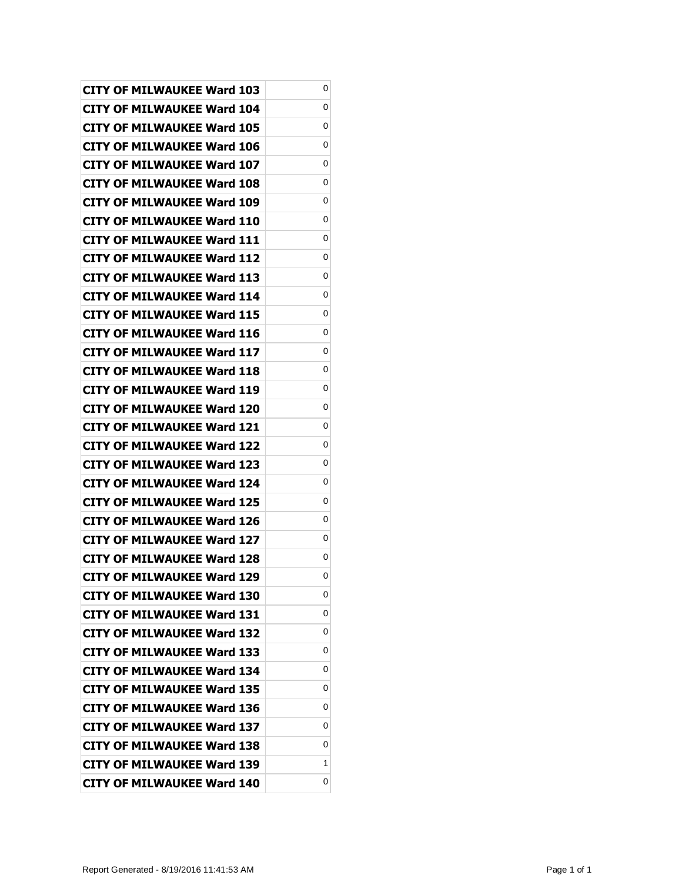| <b>CITY OF MILWAUKEE Ward 103</b> | 0 |
|-----------------------------------|---|
| CITY OF MILWAUKEE Ward 104        | 0 |
| CITY OF MILWAUKEE Ward 105        | 0 |
| <b>CITY OF MILWAUKEE Ward 106</b> | 0 |
| <b>CITY OF MILWAUKEE Ward 107</b> | 0 |
| CITY OF MILWAUKEE Ward 108        | 0 |
| <b>CITY OF MILWAUKEE Ward 109</b> | 0 |
| <b>CITY OF MILWAUKEE Ward 110</b> | 0 |
| <b>CITY OF MILWAUKEE Ward 111</b> | 0 |
| CITY OF MILWAUKEE Ward 112        | 0 |
| <b>CITY OF MILWAUKEE Ward 113</b> | 0 |
| CITY OF MILWAUKEE Ward 114        | 0 |
| <b>CITY OF MILWAUKEE Ward 115</b> | 0 |
| CITY OF MILWAUKEE Ward 116        | 0 |
| <b>CITY OF MILWAUKEE Ward 117</b> | 0 |
| CITY OF MILWAUKEE Ward 118        | 0 |
| CITY OF MILWAUKEE Ward 119        | 0 |
| <b>CITY OF MILWAUKEE Ward 120</b> | 0 |
| <b>CITY OF MILWAUKEE Ward 121</b> | 0 |
| CITY OF MILWAUKEE Ward 122        | 0 |
| <b>CITY OF MILWAUKEE Ward 123</b> | 0 |
| CITY OF MILWAUKEE Ward 124        | 0 |
| CITY OF MILWAUKEE Ward 125        | 0 |
| CITY OF MILWAUKEE Ward 126        | 0 |
| CITY OF MILWAUKEE Ward 127        | 0 |
| <b>CITY OF MILWAUKEE Ward 128</b> | 0 |
| <b>CITY OF MILWAUKEE Ward 129</b> | 0 |
| <b>CITY OF MILWAUKEE Ward 130</b> | 0 |
| <b>CITY OF MILWAUKEE Ward 131</b> | 0 |
| <b>CITY OF MILWAUKEE Ward 132</b> | 0 |
| <b>CITY OF MILWAUKEE Ward 133</b> | 0 |
| <b>CITY OF MILWAUKEE Ward 134</b> | 0 |
| <b>CITY OF MILWAUKEE Ward 135</b> | 0 |
| <b>CITY OF MILWAUKEE Ward 136</b> | 0 |
| <b>CITY OF MILWAUKEE Ward 137</b> | 0 |
| <b>CITY OF MILWAUKEE Ward 138</b> | 0 |
| <b>CITY OF MILWAUKEE Ward 139</b> | 1 |
| <b>CITY OF MILWAUKEE Ward 140</b> | 0 |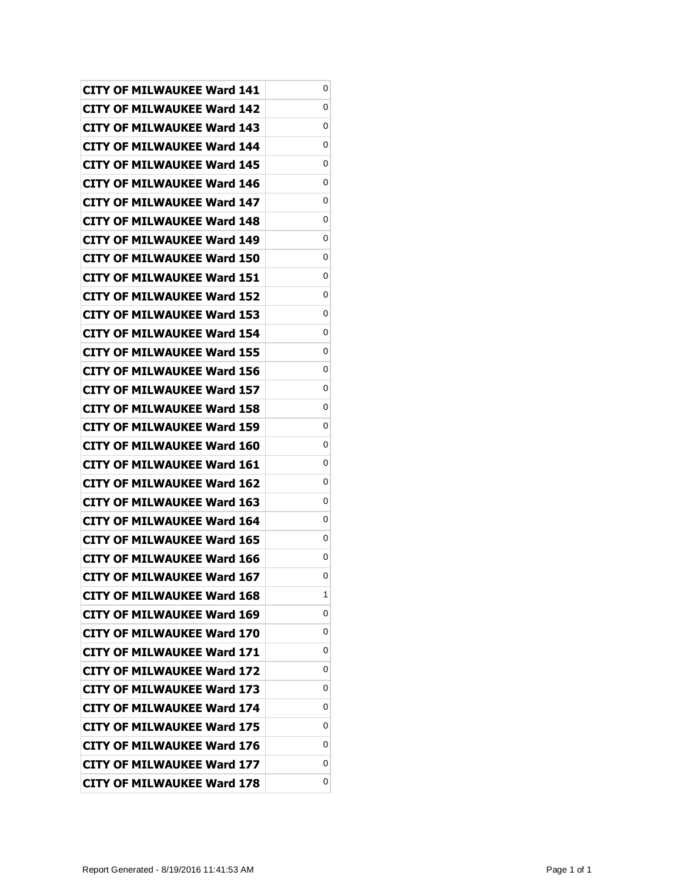| <b>CITY OF MILWAUKEE Ward 141</b> | 0 |
|-----------------------------------|---|
| CITY OF MILWAUKEE Ward 142        | 0 |
| <b>CITY OF MILWAUKEE Ward 143</b> | 0 |
| <b>CITY OF MILWAUKEE Ward 144</b> | 0 |
| <b>CITY OF MILWAUKEE Ward 145</b> | 0 |
| CITY OF MILWAUKEE Ward 146        | 0 |
| CITY OF MILWAUKEE Ward 147        | 0 |
| <b>CITY OF MILWAUKEE Ward 148</b> | 0 |
| <b>CITY OF MILWAUKEE Ward 149</b> | 0 |
| CITY OF MILWAUKEE Ward 150        | 0 |
| CITY OF MILWAUKEE Ward 151        | 0 |
| CITY OF MILWAUKEE Ward 152        | 0 |
| <b>CITY OF MILWAUKEE Ward 153</b> | 0 |
| <b>CITY OF MILWAUKEE Ward 154</b> | 0 |
| <b>CITY OF MILWAUKEE Ward 155</b> | 0 |
| CITY OF MILWAUKEE Ward 156        | 0 |
| CITY OF MILWAUKEE Ward 157        | 0 |
| <b>CITY OF MILWAUKEE Ward 158</b> | 0 |
| CITY OF MILWAUKEE Ward 159        | 0 |
| CITY OF MILWAUKEE Ward 160        | 0 |
| <b>CITY OF MILWAUKEE Ward 161</b> | 0 |
| CITY OF MILWAUKEE Ward 162        | 0 |
| CITY OF MILWAUKEE Ward 163        | 0 |
| CITY OF MILWAUKEE Ward 164        | 0 |
| CITY OF MILWAUKEE Ward 165        | 0 |
| <b>CITY OF MILWAUKEE Ward 166</b> | 0 |
| <b>CITY OF MILWAUKEE Ward 167</b> | 0 |
| <b>CITY OF MILWAUKEE Ward 168</b> | 1 |
| CITY OF MILWAUKEE Ward 169        | 0 |
| <b>CITY OF MILWAUKEE Ward 170</b> | 0 |
| <b>CITY OF MILWAUKEE Ward 171</b> | 0 |
| <b>CITY OF MILWAUKEE Ward 172</b> | 0 |
| <b>CITY OF MILWAUKEE Ward 173</b> | 0 |
| <b>CITY OF MILWAUKEE Ward 174</b> | 0 |
| <b>CITY OF MILWAUKEE Ward 175</b> | 0 |
| <b>CITY OF MILWAUKEE Ward 176</b> | 0 |
| <b>CITY OF MILWAUKEE Ward 177</b> | 0 |
| <b>CITY OF MILWAUKEE Ward 178</b> | 0 |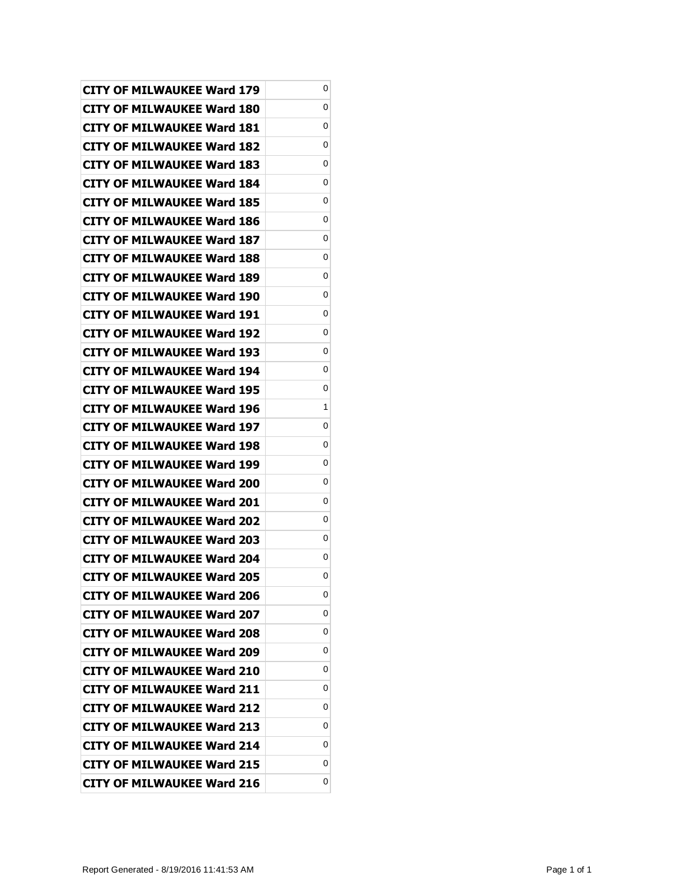| <b>CITY OF MILWAUKEE Ward 179</b> | 0 |
|-----------------------------------|---|
| CITY OF MILWAUKEE Ward 180        | 0 |
| <b>CITY OF MILWAUKEE Ward 181</b> | 0 |
| <b>CITY OF MILWAUKEE Ward 182</b> | 0 |
| <b>CITY OF MILWAUKEE Ward 183</b> | 0 |
| CITY OF MILWAUKEE Ward 184        | 0 |
| CITY OF MILWAUKEE Ward 185        | 0 |
| <b>CITY OF MILWAUKEE Ward 186</b> | 0 |
| <b>CITY OF MILWAUKEE Ward 187</b> | 0 |
| CITY OF MILWAUKEE Ward 188        | 0 |
| <b>CITY OF MILWAUKEE Ward 189</b> | 0 |
| CITY OF MILWAUKEE Ward 190        | 0 |
| <b>CITY OF MILWAUKEE Ward 191</b> | 0 |
| <b>CITY OF MILWAUKEE Ward 192</b> | 0 |
| <b>CITY OF MILWAUKEE Ward 193</b> | 0 |
| CITY OF MILWAUKEE Ward 194        | 0 |
| CITY OF MILWAUKEE Ward 195        | 0 |
| <b>CITY OF MILWAUKEE Ward 196</b> | 1 |
| <b>CITY OF MILWAUKEE Ward 197</b> | 0 |
| CITY OF MILWAUKEE Ward 198        | 0 |
| <b>CITY OF MILWAUKEE Ward 199</b> | 0 |
| CITY OF MILWAUKEE Ward 200        | 0 |
| CITY OF MILWAUKEE Ward 201        | 0 |
| CITY OF MILWAUKEE Ward 202        | 0 |
| CITY OF MILWAUKEE Ward 203        | 0 |
| <b>CITY OF MILWAUKEE Ward 204</b> | 0 |
| <b>CITY OF MILWAUKEE Ward 205</b> | 0 |
| <b>CITY OF MILWAUKEE Ward 206</b> | 0 |
| <b>CITY OF MILWAUKEE Ward 207</b> | 0 |
| <b>CITY OF MILWAUKEE Ward 208</b> | 0 |
| <b>CITY OF MILWAUKEE Ward 209</b> | 0 |
| <b>CITY OF MILWAUKEE Ward 210</b> | 0 |
| <b>CITY OF MILWAUKEE Ward 211</b> | 0 |
| <b>CITY OF MILWAUKEE Ward 212</b> | 0 |
| <b>CITY OF MILWAUKEE Ward 213</b> | 0 |
| <b>CITY OF MILWAUKEE Ward 214</b> | 0 |
| <b>CITY OF MILWAUKEE Ward 215</b> | 0 |
| <b>CITY OF MILWAUKEE Ward 216</b> | 0 |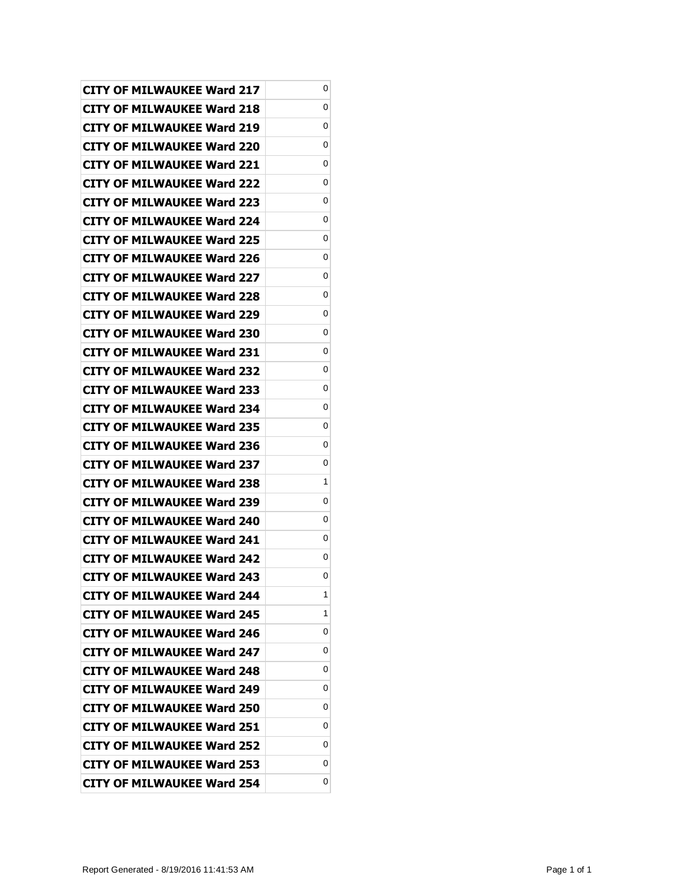| <b>CITY OF MILWAUKEE Ward 217</b> | 0 |
|-----------------------------------|---|
| CITY OF MILWAUKEE Ward 218        | 0 |
| CITY OF MILWAUKEE Ward 219        | 0 |
| CITY OF MILWAUKEE Ward 220        | 0 |
| <b>CITY OF MILWAUKEE Ward 221</b> | 0 |
| <b>CITY OF MILWAUKEE Ward 222</b> | 0 |
| CITY OF MILWAUKEE Ward 223        | 0 |
| CITY OF MILWAUKEE Ward 224        | 0 |
| <b>CITY OF MILWAUKEE Ward 225</b> | 0 |
| CITY OF MILWAUKEE Ward 226        | 0 |
| CITY OF MILWAUKEE Ward 227        | 0 |
| CITY OF MILWAUKEE Ward 228        | 0 |
| <b>CITY OF MILWAUKEE Ward 229</b> | 0 |
| <b>CITY OF MILWAUKEE Ward 230</b> | 0 |
| <b>CITY OF MILWAUKEE Ward 231</b> | 0 |
| CITY OF MILWAUKEE Ward 232        | 0 |
| CITY OF MILWAUKEE Ward 233        | 0 |
| <b>CITY OF MILWAUKEE Ward 234</b> | 0 |
| <b>CITY OF MILWAUKEE Ward 235</b> | 0 |
| <b>CITY OF MILWAUKEE Ward 236</b> | 0 |
| CITY OF MILWAUKEE Ward 237        | 0 |
| CITY OF MILWAUKEE Ward 238        | 1 |
| <b>CITY OF MILWAUKEE Ward 239</b> | 0 |
| CITY OF MILWAUKEE Ward 240        | 0 |
| CITY OF MILWAUKEE Ward 241        | 0 |
| <b>CITY OF MILWAUKEE Ward 242</b> | 0 |
| <b>CITY OF MILWAUKEE Ward 243</b> | 0 |
| <b>CITY OF MILWAUKEE Ward 244</b> | 1 |
| <b>CITY OF MILWAUKEE Ward 245</b> | 1 |
| CITY OF MILWAUKEE Ward 246        | 0 |
| CITY OF MILWAUKEE Ward 247        | 0 |
| <b>CITY OF MILWAUKEE Ward 248</b> | 0 |
| <b>CITY OF MILWAUKEE Ward 249</b> | 0 |
| CITY OF MILWAUKEE Ward 250        | 0 |
| <b>CITY OF MILWAUKEE Ward 251</b> | 0 |
| CITY OF MILWAUKEE Ward 252        | 0 |
| <b>CITY OF MILWAUKEE Ward 253</b> | 0 |
|                                   |   |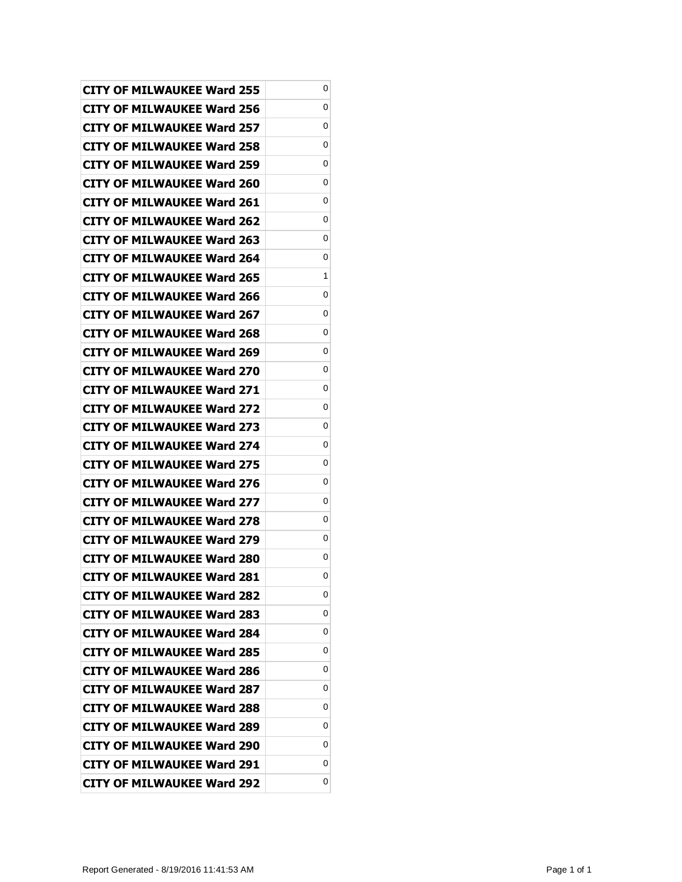| <b>CITY OF MILWAUKEE Ward 255</b> | 0 |
|-----------------------------------|---|
| CITY OF MILWAUKEE Ward 256        | 0 |
| <b>CITY OF MILWAUKEE Ward 257</b> | 0 |
| <b>CITY OF MILWAUKEE Ward 258</b> | 0 |
| <b>CITY OF MILWAUKEE Ward 259</b> | 0 |
| CITY OF MILWAUKEE Ward 260        | 0 |
| CITY OF MILWAUKEE Ward 261        | 0 |
| <b>CITY OF MILWAUKEE Ward 262</b> | 0 |
| <b>CITY OF MILWAUKEE Ward 263</b> | 0 |
| CITY OF MILWAUKEE Ward 264        | 0 |
| <b>CITY OF MILWAUKEE Ward 265</b> | 1 |
| CITY OF MILWAUKEE Ward 266        | 0 |
| <b>CITY OF MILWAUKEE Ward 267</b> | 0 |
| <b>CITY OF MILWAUKEE Ward 268</b> | 0 |
| CITY OF MILWAUKEE Ward 269        | 0 |
| CITY OF MILWAUKEE Ward 270        | 0 |
| CITY OF MILWAUKEE Ward 271        | 0 |
| <b>CITY OF MILWAUKEE Ward 272</b> | 0 |
| <b>CITY OF MILWAUKEE Ward 273</b> | 0 |
| CITY OF MILWAUKEE Ward 274        | 0 |
| <b>CITY OF MILWAUKEE Ward 275</b> | 0 |
| CITY OF MILWAUKEE Ward 276        | 0 |
| CITY OF MILWAUKEE Ward 277        | 0 |
| CITY OF MILWAUKEE Ward 278        | 0 |
| CITY OF MILWAUKEE Ward 279        | 0 |
| <b>CITY OF MILWAUKEE Ward 280</b> | 0 |
| <b>CITY OF MILWAUKEE Ward 281</b> | 0 |
| <b>CITY OF MILWAUKEE Ward 282</b> | 0 |
| <b>CITY OF MILWAUKEE Ward 283</b> | 0 |
| <b>CITY OF MILWAUKEE Ward 284</b> | 0 |
| <b>CITY OF MILWAUKEE Ward 285</b> | 0 |
| <b>CITY OF MILWAUKEE Ward 286</b> | 0 |
| <b>CITY OF MILWAUKEE Ward 287</b> | 0 |
| CITY OF MILWAUKEE Ward 288        | 0 |
| <b>CITY OF MILWAUKEE Ward 289</b> | 0 |
| <b>CITY OF MILWAUKEE Ward 290</b> | 0 |
| <b>CITY OF MILWAUKEE Ward 291</b> | 0 |
| <b>CITY OF MILWAUKEE Ward 292</b> | 0 |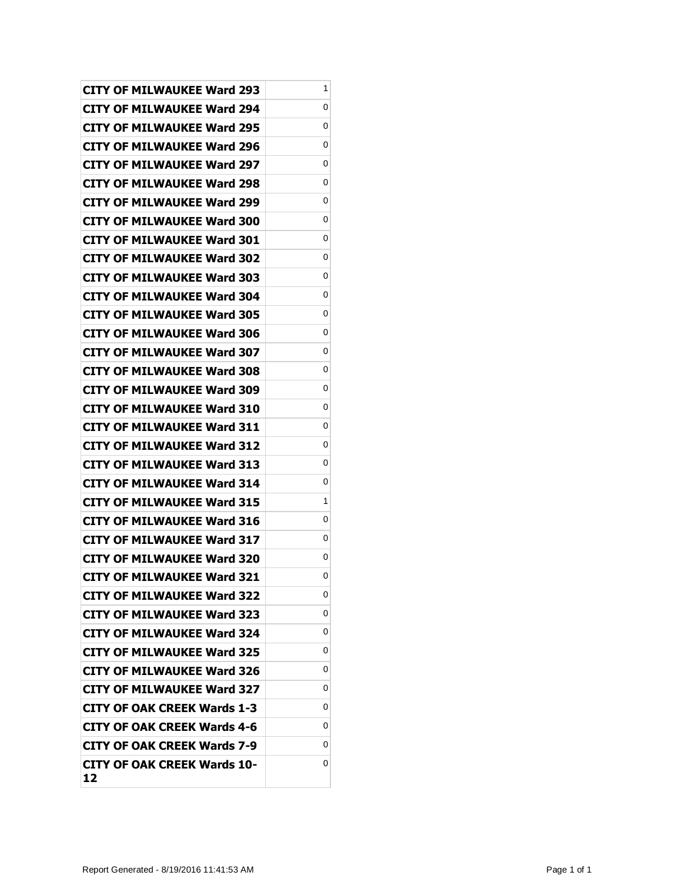| <b>CITY OF MILWAUKEE Ward 293</b>        | 1 |
|------------------------------------------|---|
| CITY OF MILWAUKEE Ward 294               | 0 |
| CITY OF MILWAUKEE Ward 295               | 0 |
| CITY OF MILWAUKEE Ward 296               | 0 |
| CITY OF MILWAUKEE Ward 297               | 0 |
| <b>CITY OF MILWAUKEE Ward 298</b>        | 0 |
| CITY OF MILWAUKEE Ward 299               | 0 |
| <b>CITY OF MILWAUKEE Ward 300</b>        | 0 |
| <b>CITY OF MILWAUKEE Ward 301</b>        | 0 |
| CITY OF MILWAUKEE Ward 302               | 0 |
| CITY OF MILWAUKEE Ward 303               | 0 |
| CITY OF MILWAUKEE Ward 304               | 0 |
| CITY OF MILWAUKEE Ward 305               | 0 |
| <b>CITY OF MILWAUKEE Ward 306</b>        | 0 |
| <b>CITY OF MILWAUKEE Ward 307</b>        | 0 |
| CITY OF MILWAUKEE Ward 308               | 0 |
| CITY OF MILWAUKEE Ward 309               | 0 |
| CITY OF MILWAUKEE Ward 310               | 0 |
| <b>CITY OF MILWAUKEE Ward 311</b>        | 0 |
| <b>CITY OF MILWAUKEE Ward 312</b>        | 0 |
| CITY OF MILWAUKEE Ward 313               | 0 |
| <b>CITY OF MILWAUKEE Ward 314</b>        | 0 |
| <b>CITY OF MILWAUKEE Ward 315</b>        | 1 |
| <b>CITY OF MILWAUKEE Ward 316</b>        | 0 |
| CITY OF MILWAUKEE Ward 317               | 0 |
| <b>CITY OF MILWAUKEE Ward 320</b>        | 0 |
| <b>CITY OF MILWAUKEE Ward 321</b>        | 0 |
| <b>CITY OF MILWAUKEE Ward 322</b>        | 0 |
| <b>CITY OF MILWAUKEE Ward 323</b>        | 0 |
| <b>CITY OF MILWAUKEE Ward 324</b>        | 0 |
| CITY OF MILWAUKEE Ward 325               | 0 |
| <b>CITY OF MILWAUKEE Ward 326</b>        | 0 |
| <b>CITY OF MILWAUKEE Ward 327</b>        | 0 |
| <b>CITY OF OAK CREEK Wards 1-3</b>       | 0 |
| <b>CITY OF OAK CREEK Wards 4-6</b>       | 0 |
| <b>CITY OF OAK CREEK Wards 7-9</b>       | 0 |
| <b>CITY OF OAK CREEK Wards 10-</b><br>12 | 0 |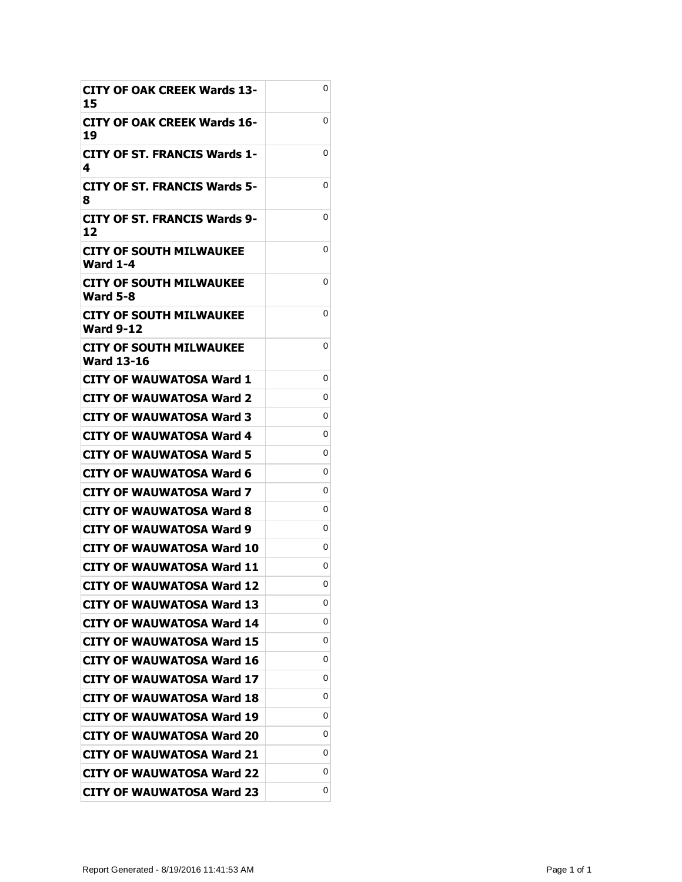| <b>CITY OF OAK CREEK Wards 13-</b><br>15     | 0 |
|----------------------------------------------|---|
| CITY OF OAK CREEK Wards 16-<br>19            | 0 |
| CITY OF ST. FRANCIS Wards 1-<br>4            | 0 |
| <b>CITY OF ST. FRANCIS Wards 5-</b><br>8     | 0 |
| <b>CITY OF ST. FRANCIS Wards 9-</b><br>12    | 0 |
| <b>CITY OF SOUTH MILWAUKEE</b><br>Ward 1-4   | 0 |
| CITY OF SOUTH MILWAUKEE<br><b>Ward 5-8</b>   | 0 |
| CITY OF SOUTH MILWAUKEE<br>Ward 9-12         | 0 |
| CITY OF SOUTH MILWAUKEE<br><b>Ward 13-16</b> | 0 |
| CITY OF WAUWATOSA Ward 1                     | 0 |
| <b>CITY OF WAUWATOSA Ward 2</b>              | 0 |
| CITY OF WAUWATOSA Ward 3                     | 0 |
| CITY OF WAUWATOSA Ward 4                     | 0 |
| CITY OF WAUWATOSA Ward 5                     | 0 |
| CITY OF WAUWATOSA Ward 6                     | 0 |
| CITY OF WAUWATOSA Ward 7                     | 0 |
| CITY OF WAUWATOSA Ward 8                     | 0 |
| CITY OF WAUWATOSA Ward 9                     | 0 |
| CITY OF WAUWATOSA Ward 10                    | 0 |
| <b>CITY OF WAUWATOSA Ward 11</b>             | 0 |
| <b>CITY OF WAUWATOSA Ward 12</b>             | 0 |
| <b>CITY OF WAUWATOSA Ward 13</b>             | 0 |
| <b>CITY OF WAUWATOSA Ward 14</b>             | 0 |
| <b>CITY OF WAUWATOSA Ward 15</b>             | 0 |
| <b>CITY OF WAUWATOSA Ward 16</b>             | 0 |
| <b>CITY OF WAUWATOSA Ward 17</b>             | 0 |
| <b>CITY OF WAUWATOSA Ward 18</b>             | 0 |
| <b>CITY OF WAUWATOSA Ward 19</b>             | 0 |
| <b>CITY OF WAUWATOSA Ward 20</b>             | 0 |
| <b>CITY OF WAUWATOSA Ward 21</b>             | 0 |
| <b>CITY OF WAUWATOSA Ward 22</b>             | 0 |
| <b>CITY OF WAUWATOSA Ward 23</b>             | 0 |